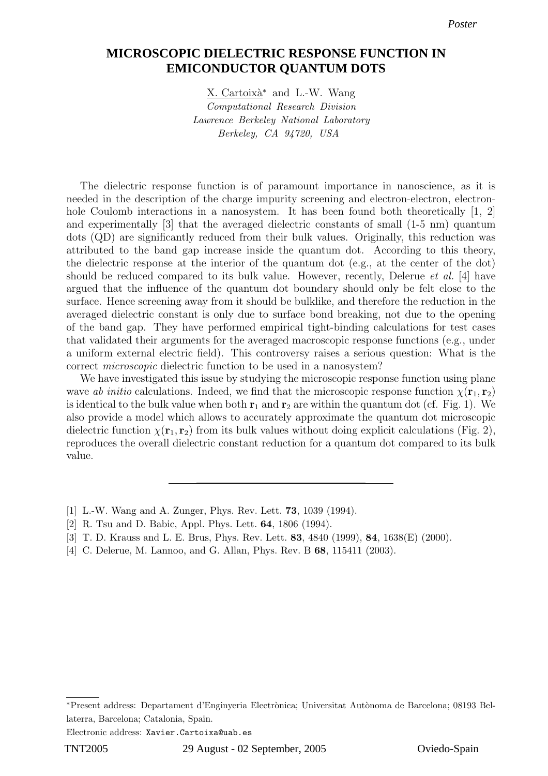## **MICROSCOPIC DIELECTRIC RESPONSE FUNCTION IN EMICONDUCTOR QUANTUM DOTS**

X. Cartoixà<sup>∗</sup> and L.-W. Wang Computational Research Division Lawrence Berkeley National Laboratory Berkeley, CA 94720, USA

The dielectric response function is of paramount importance in nanoscience, as it is needed in the description of the charge impurity screening and electron-electron, electronhole Coulomb interactions in a nanosystem. It has been found both theoretically [1, 2] and experimentally [3] that the averaged dielectric constants of small (1-5 nm) quantum dots (QD) are significantly reduced from their bulk values. Originally, this reduction was attributed to the band gap increase inside the quantum dot. According to this theory, the dielectric response at the interior of the quantum dot (e.g., at the center of the dot) should be reduced compared to its bulk value. However, recently, Delerue *et al.* [4] have argued that the influence of the quantum dot boundary should only be felt close to the surface. Hence screening away from it should be bulklike, and therefore the reduction in the averaged dielectric constant is only due to surface bond breaking, not due to the opening of the band gap. They have performed empirical tight-binding calculations for test cases that validated their arguments for the averaged macroscopic response functions (e.g., under a uniform external electric field). This controversy raises a serious question: What is the correct microscopic dielectric function to be used in a nanosystem?

We have investigated this issue by studying the microscopic response function using plane wave ab initio calculations. Indeed, we find that the microscopic response function  $\chi(\mathbf{r}_1, \mathbf{r}_2)$ is identical to the bulk value when both  $r_1$  and  $r_2$  are within the quantum dot (cf. Fig. 1). We also provide a model which allows to accurately approximate the quantum dot microscopic dielectric function  $\chi(\mathbf{r}_1, \mathbf{r}_2)$  from its bulk values without doing explicit calculations (Fig. 2), reproduces the overall dielectric constant reduction for a quantum dot compared to its bulk value.

- [1] L.-W. Wang and A. Zunger, Phys. Rev. Lett. 73, 1039 (1994).
- [2] R. Tsu and D. Babic, Appl. Phys. Lett. 64, 1806 (1994).
- [3] T. D. Krauss and L. E. Brus, Phys. Rev. Lett. 83, 4840 (1999), 84, 1638(E) (2000).
- [4] C. Delerue, M. Lannoo, and G. Allan, Phys. Rev. B **68**, 115411 (2003).

Electronic address: Xavier.Cartoixa@uab.es

<sup>\*</sup>Present address: Departament d'Enginyeria Electrònica; Universitat Autònoma de Barcelona; 08193 Bellaterra, Barcelona; Catalonia, Spain.